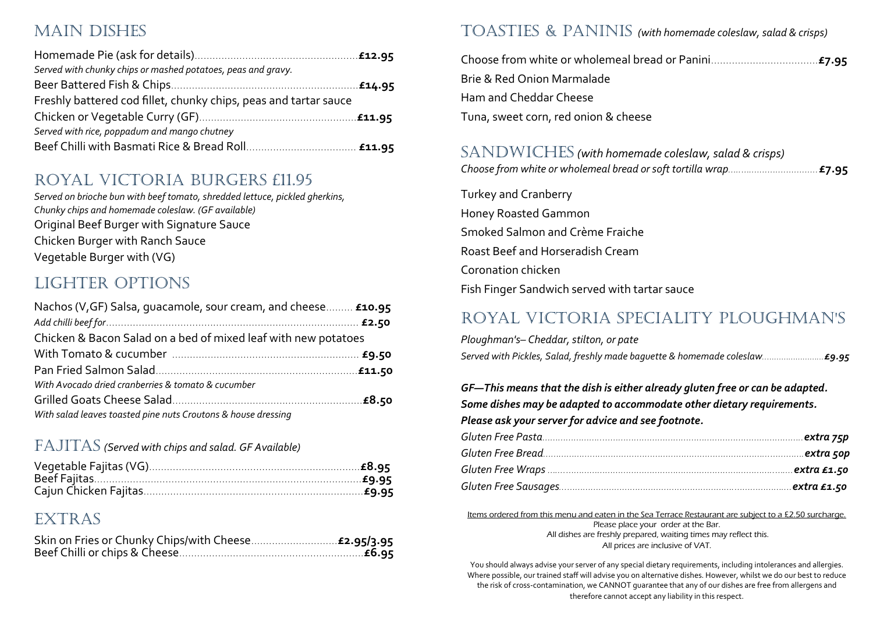## Main Dishes

| Served with chunky chips or mashed potatoes, peas and gravy.     |  |
|------------------------------------------------------------------|--|
|                                                                  |  |
| Freshly battered cod fillet, chunky chips, peas and tartar sauce |  |
|                                                                  |  |
| Served with rice, poppadum and mango chutney                     |  |
|                                                                  |  |

#### Royal Victoria Burgers £11.95

*Served on brioche bun with beef tomato, shredded lettuce, pickled gherkins, Chunky chips and homemade coleslaw. (GF available)* Original Beef Burger with Signature Sauce Chicken Burger with Ranch Sauce Vegetable Burger with (VG)

## Lighter Options

| Nachos (V, GF) Salsa, quacamole, sour cream, and cheese £10.95 |  |
|----------------------------------------------------------------|--|
|                                                                |  |
| Chicken & Bacon Salad on a bed of mixed leaf with new potatoes |  |
|                                                                |  |
|                                                                |  |
| With Avocado dried cranberries & tomato & cucumber             |  |
|                                                                |  |
| With salad leaves toasted pine nuts Croutons & house dressing  |  |

#### Fajitas *(Served with chips and salad. GF Available)*

#### Extras

#### Toasties & Paninis *(with homemade coleslaw, salad & crisps)*

| Brie & Red Onion Marmalade           |  |
|--------------------------------------|--|
| Ham and Cheddar Cheese               |  |
| Tuna, sweet corn, red onion & cheese |  |

#### SANDWICHES (with homemade coleslaw, salad & crisps)

|--|--|

Turkey and Cranberry Honey Roasted Gammon Smoked Salmon and Crème Fraiche Roast Beef and Horseradish Cream Coronation chicken Fish Finger Sandwich served with tartar sauce

## Royal Victoria Speciality Ploughman's

*Ploughman's– Cheddar, stilton, or pate Served with Pickles, Salad, freshly made baguette & homemade coleslaw..…………………...£9.95*

*GF—This means that the dish is either already gluten free or can be adapted. Some dishes may be adapted to accommodate other dietary requirements. Please ask your server for advice and see footnote.*

Items ordered from this menu and eaten in the Sea Terrace Restaurant are subject to a £2.50 surcharge. Please place your order at the Bar. All dishes are freshly prepared, waiting times may reflect this. All prices are inclusive of VAT.

You should always advise your server of any special dietary requirements, including intolerances and allergies. Where possible, our trained staff will advise you on alternative dishes. However, whilst we do our best to reduce the risk of cross-contamination, we CANNOT guarantee that any of our dishes are free from allergens and therefore cannot accept any liability in this respect.